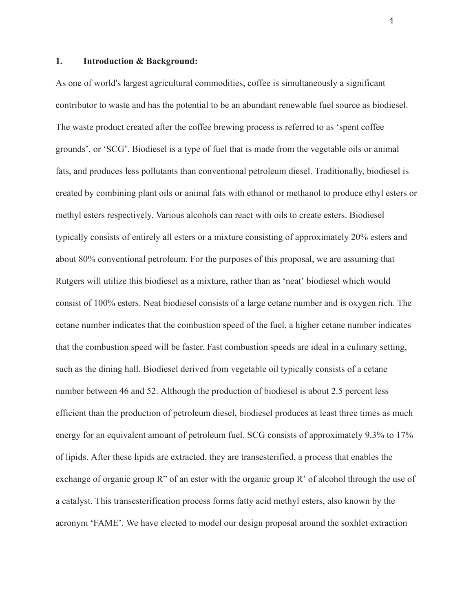#### **1. Introduction & Background:**

As one of world's largest agricultural commodities, coffee is simultaneously a significant contributor to waste and has the potential to be an abundant renewable fuel source as biodiesel. The waste product created after the coffee brewing process is referred to as 'spent coffee grounds', or 'SCG'. Biodiesel is a type of fuel that is made from the vegetable oils or animal fats, and produces less pollutants than conventional petroleum diesel. Traditionally, biodiesel is created by combining plant oils or animal fats with ethanol or methanol to produce ethyl esters or methyl esters respectively. Various alcohols can react with oils to create esters. Biodiesel typically consists of entirely all esters or a mixture consisting of approximately 20% esters and about 80% conventional petroleum. For the purposes of this proposal, we are assuming that Rutgers will utilize this biodiesel as a mixture, rather than as 'neat' biodiesel which would consist of 100% esters. Neat biodiesel consists of a large cetane number and is oxygen rich. The cetane number indicates that the combustion speed of the fuel, a higher cetane number indicates that the combustion speed will be faster. Fast combustion speeds are ideal in a culinary setting, such as the dining hall. Biodiesel derived from vegetable oil typically consists of a cetane number between 46 and 52. Although the production of biodiesel is about 2.5 percent less efficient than the production of petroleum diesel, biodiesel produces at least three times as much energy for an equivalent amount of petroleum fuel. SCG consists of approximately 9.3% to 17% of lipids. After these lipids are extracted, they are transesterified, a process that enables the exchange of organic group R" of an ester with the organic group R' of alcohol through the use of a catalyst. This transesterification process forms fatty acid methyl esters, also known by the acronym 'FAME'. We have elected to model our design proposal around the soxhlet extraction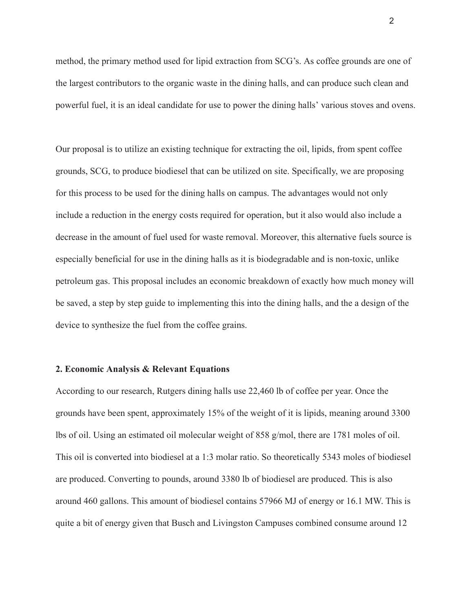method, the primary method used for lipid extraction from SCG's. As coffee grounds are one of the largest contributors to the organic waste in the dining halls, and can produce such clean and powerful fuel, it is an ideal candidate for use to power the dining halls' various stoves and ovens.

Our proposal is to utilize an existing technique for extracting the oil, lipids, from spent coffee grounds, SCG, to produce biodiesel that can be utilized on site. Specifically, we are proposing for this process to be used for the dining halls on campus. The advantages would not only include a reduction in the energy costs required for operation, but it also would also include a decrease in the amount of fuel used for waste removal. Moreover, this alternative fuels source is especially beneficial for use in the dining halls as it is biodegradable and is non-toxic, unlike petroleum gas. This proposal includes an economic breakdown of exactly how much money will be saved, a step by step guide to implementing this into the dining halls, and the a design of the device to synthesize the fuel from the coffee grains.

#### **2. Economic Analysis & Relevant Equations**

According to our research, Rutgers dining halls use 22,460 lb of coffee per year. Once the grounds have been spent, approximately 15% of the weight of it is lipids, meaning around 3300 lbs of oil. Using an estimated oil molecular weight of 858 g/mol, there are 1781 moles of oil. This oil is converted into biodiesel at a 1:3 molar ratio. So theoretically 5343 moles of biodiesel are produced. Converting to pounds, around 3380 lb of biodiesel are produced. This is also around 460 gallons. This amount of biodiesel contains 57966 MJ of energy or 16.1 MW. This is quite a bit of energy given that Busch and Livingston Campuses combined consume around 12

2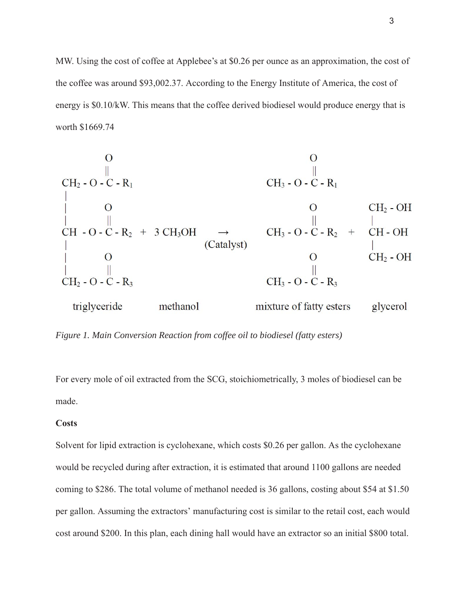MW. Using the cost of coffee at Applebee's at \$0.26 per ounce as an approximation, the cost of the coffee was around \$93,002.37. According to the Energy Institute of America, the cost of energy is \$0.10/kW. This means that the coffee derived biodiesel would produce energy that is worth \$1669.74

*Figure 1. Main Conversion Reaction from coffee oil to biodiesel (fatty esters)* 

For every mole of oil extracted from the SCG, stoichiometrically, 3 moles of biodiesel can be made.

#### **Costs**

Solvent for lipid extraction is cyclohexane, which costs \$0.26 per gallon. As the cyclohexane would be recycled during after extraction, it is estimated that around 1100 gallons are needed coming to \$286. The total volume of methanol needed is 36 gallons, costing about \$54 at \$1.50 per gallon. Assuming the extractors' manufacturing cost is similar to the retail cost, each would cost around \$200. In this plan, each dining hall would have an extractor so an initial \$800 total.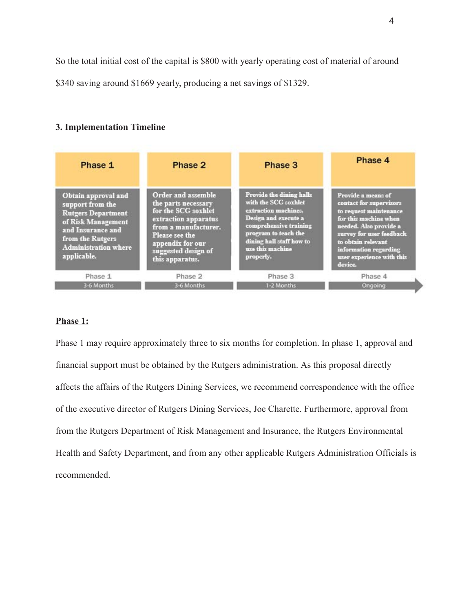So the total initial cost of the capital is \$800 with yearly operating cost of material of around

\$340 saving around \$1669 yearly, producing a net savings of \$1329.

### **3. Implementation Timeline**

| Phase 1                                                                                                                                                                           | Phase 2                                                                                                                                                                                          | Phase 3                                                                                                                                                                                                         | Phase 4                                                                                                                                                                                                                                       |
|-----------------------------------------------------------------------------------------------------------------------------------------------------------------------------------|--------------------------------------------------------------------------------------------------------------------------------------------------------------------------------------------------|-----------------------------------------------------------------------------------------------------------------------------------------------------------------------------------------------------------------|-----------------------------------------------------------------------------------------------------------------------------------------------------------------------------------------------------------------------------------------------|
| Obtain approval and<br>support from the<br><b>Rutgers Department</b><br>of Risk Management<br>and Insurance and<br>from the Rutgers<br><b>Administration where</b><br>applicable. | Order and assemble<br>the parts necessary<br>for the SCG soxhlet<br>extraction apparatus<br>from a manufacturer.<br>Please see the<br>appendix for our<br>suggested design of<br>this apparatus. | Provide the dining halls<br>with the SCG soxhlet<br>extraction machines.<br>Design and execute a<br>comprehensive training<br>program to teach the<br>dining hall staff how to<br>use this machine<br>properly. | Provide a means of<br>contact for supervisors<br>to request maintenance<br>for this machine when<br>needed. Also provide a<br>survey for user feedback<br>to obtain relevant<br>information regarding<br>user experience with this<br>device. |
| Phase 1                                                                                                                                                                           | Phase 2                                                                                                                                                                                          | Phase 3                                                                                                                                                                                                         | Phase 4                                                                                                                                                                                                                                       |
| 3-6 Months                                                                                                                                                                        | 3-6 Months                                                                                                                                                                                       | 1-2 Months                                                                                                                                                                                                      | Ongoing                                                                                                                                                                                                                                       |

#### **Phase 1:**

Phase 1 may require approximately three to six months for completion. In phase 1, approval and financial support must be obtained by the Rutgers administration. As this proposal directly affects the affairs of the Rutgers Dining Services, we recommend correspondence with the office of the executive director of Rutgers Dining Services, Joe Charette. Furthermore, approval from from the Rutgers Department of Risk Management and Insurance, the Rutgers Environmental Health and Safety Department, and from any other applicable Rutgers Administration Officials is recommended.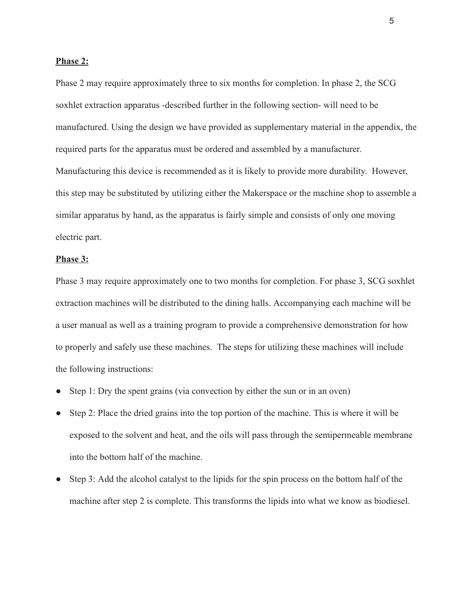#### **Phase 2:**

Phase 2 may require approximately three to six months for completion. In phase 2, the SCG soxhlet extraction apparatus -described further in the following section- will need to be manufactured. Using the design we have provided as supplementary material in the appendix, the required parts for the apparatus must be ordered and assembled by a manufacturer. Manufacturing this device is recommended as it is likely to provide more durability. However, this step may be substituted by utilizing either the Makerspace or the machine shop to assemble a similar apparatus by hand, as the apparatus is fairly simple and consists of only one moving electric part.

#### **Phase 3:**

Phase 3 may require approximately one to two months for completion. For phase 3, SCG soxhlet extraction machines will be distributed to the dining halls. Accompanying each machine will be a user manual as well as a training program to provide a comprehensive demonstration for how to properly and safely use these machines. The steps for utilizing these machines will include the following instructions:

- Step 1: Dry the spent grains (via convection by either the sun or in an oven)
- Step 2: Place the dried grains into the top portion of the machine. This is where it will be exposed to the solvent and heat, and the oils will pass through the semipermeable membrane into the bottom half of the machine.
- Step 3: Add the alcohol catalyst to the lipids for the spin process on the bottom half of the machine after step 2 is complete. This transforms the lipids into what we know as biodiesel.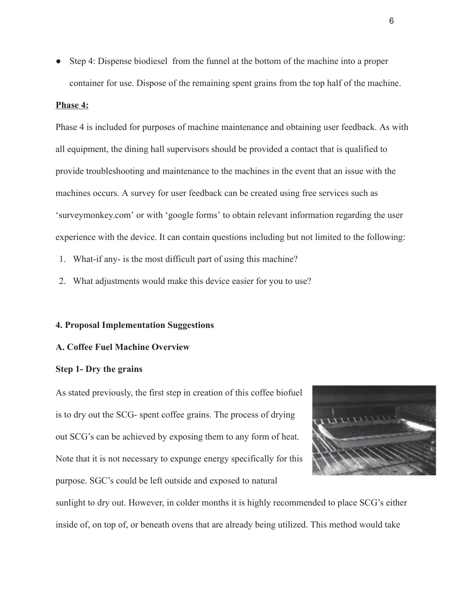● Step 4: Dispense biodiesel from the funnel at the bottom of the machine into a proper container for use. Dispose of the remaining spent grains from the top half of the machine.

#### **Phase 4:**

Phase 4 is included for purposes of machine maintenance and obtaining user feedback. As with all equipment, the dining hall supervisors should be provided a contact that is qualified to provide troubleshooting and maintenance to the machines in the event that an issue with the machines occurs. A survey for user feedback can be created using free services such as 'surveymonkey.com' or with 'google forms' to obtain relevant information regarding the user experience with the device. It can contain questions including but not limited to the following:

- 1. What-if any- is the most difficult part of using this machine?
- 2. What adjustments would make this device easier for you to use?

#### **4. Proposal Implementation Suggestions**

#### **A. Coffee Fuel Machine Overview**

#### **Step 1- Dry the grains**

As stated previously, the first step in creation of this coffee biofuel is to dry out the SCG- spent coffee grains. The process of drying out SCG's can be achieved by exposing them to any form of heat. Note that it is not necessary to expunge energy specifically for this purpose. SGC's could be left outside and exposed to natural



sunlight to dry out. However, in colder months it is highly recommended to place SCG's either inside of, on top of, or beneath ovens that are already being utilized. This method would take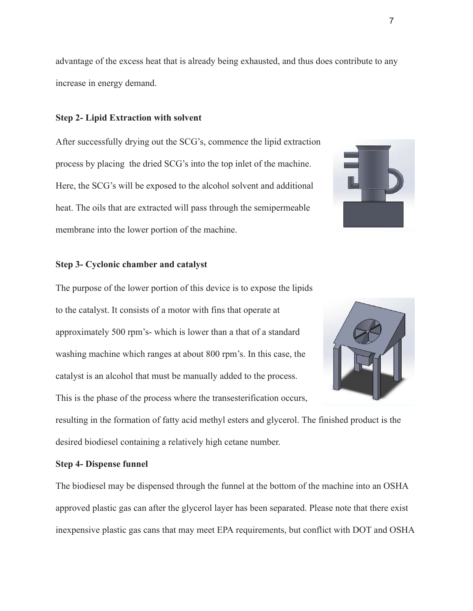advantage of the excess heat that is already being exhausted, and thus does contribute to any increase in energy demand.

#### **Step 2- Lipid Extraction with solvent**

After successfully drying out the SCG's, commence the lipid extraction process by placing the dried SCG's into the top inlet of the machine. Here, the SCG's will be exposed to the alcohol solvent and additional heat. The oils that are extracted will pass through the semipermeable membrane into the lower portion of the machine.

# **Step 3- Cyclonic chamber and catalyst**

The purpose of the lower portion of this device is to expose the lipids to the catalyst. It consists of a motor with fins that operate at approximately 500 rpm's- which is lower than a that of a standard washing machine which ranges at about 800 rpm's. In this case, the catalyst is an alcohol that must be manually added to the process. This is the phase of the process where the transesterification occurs,

resulting in the formation of fatty acid methyl esters and glycerol. The finished product is the desired biodiesel containing a relatively high cetane number.

#### **Step 4- Dispense funnel**

The biodiesel may be dispensed through the funnel at the bottom of the machine into an OSHA approved plastic gas can after the glycerol layer has been separated. Please note that there exist inexpensive plastic gas cans that may meet EPA requirements, but conflict with DOT and OSHA





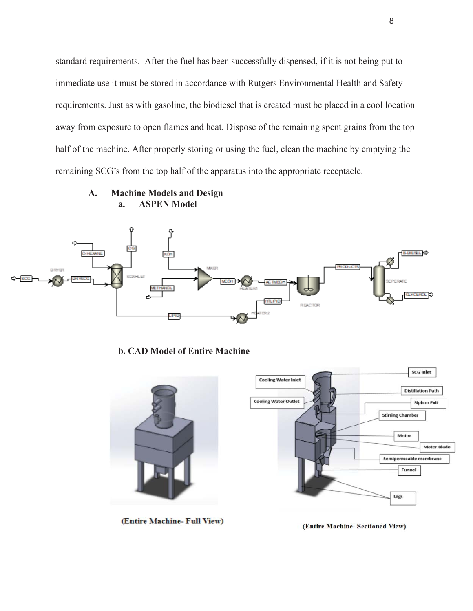standard requirements. After the fuel has been successfully dispensed, if it is not being put to immediate use it must be stored in accordance with Rutgers Environmental Health and Safety requirements. Just as with gasoline, the biodiesel that is created must be placed in a cool location away from exposure to open flames and heat. Dispose of the remaining spent grains from the top half of the machine. After properly storing or using the fuel, clean the machine by emptying the remaining SCG's from the top half of the apparatus into the appropriate receptacle.

**A. Machine Models and Design a. ASPEN Model** 



**b. CAD Model of Entire Machine** 



(Entire Machine- Full View)

(Entire Machine- Sectioned View)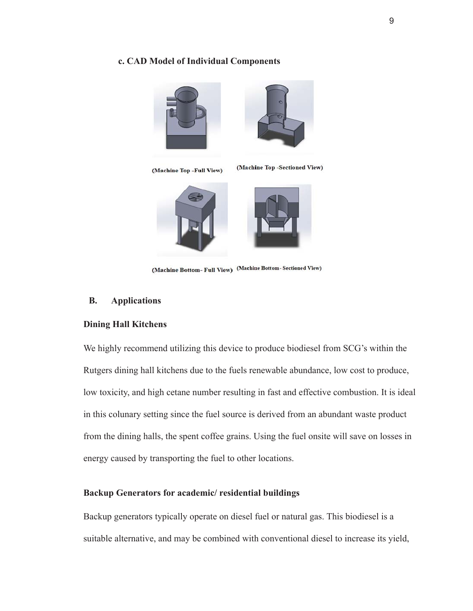#### **c. CAD Model of Individual Components**













(Machine Bottom- Full View) (Machine Bottom- Sectioned View)

#### **B. Applications**

#### **Dining Hall Kitchens**

We highly recommend utilizing this device to produce biodiesel from SCG's within the Rutgers dining hall kitchens due to the fuels renewable abundance, low cost to produce, low toxicity, and high cetane number resulting in fast and effective combustion. It is ideal in this colunary setting since the fuel source is derived from an abundant waste product from the dining halls, the spent coffee grains. Using the fuel onsite will save on losses in energy caused by transporting the fuel to other locations.

#### **Backup Generators for academic/ residential buildings**

Backup generators typically operate on diesel fuel or natural gas. This biodiesel is a suitable alternative, and may be combined with conventional diesel to increase its yield,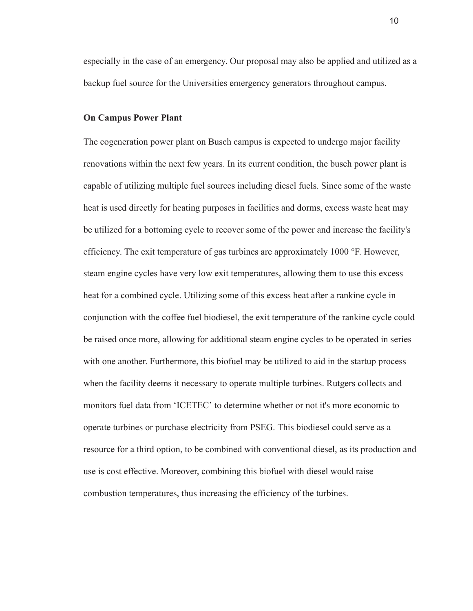especially in the case of an emergency. Our proposal may also be applied and utilized as a backup fuel source for the Universities emergency generators throughout campus.

#### **On Campus Power Plant**

The cogeneration power plant on Busch campus is expected to undergo major facility renovations within the next few years. In its current condition, the busch power plant is capable of utilizing multiple fuel sources including diesel fuels. Since some of the waste heat is used directly for heating purposes in facilities and dorms, excess waste heat may be utilized for a bottoming cycle to recover some of the power and increase the facility's efficiency. The exit temperature of gas turbines are approximately  $1000$  °F. However, steam engine cycles have very low exit temperatures, allowing them to use this excess heat for a combined cycle. Utilizing some of this excess heat after a rankine cycle in conjunction with the coffee fuel biodiesel, the exit temperature of the rankine cycle could be raised once more, allowing for additional steam engine cycles to be operated in series with one another. Furthermore, this biofuel may be utilized to aid in the startup process when the facility deems it necessary to operate multiple turbines. Rutgers collects and monitors fuel data from 'ICETEC' to determine whether or not it's more economic to operate turbines or purchase electricity from PSEG. This biodiesel could serve as a resource for a third option, to be combined with conventional diesel, as its production and use is cost effective. Moreover, combining this biofuel with diesel would raise combustion temperatures, thus increasing the efficiency of the turbines.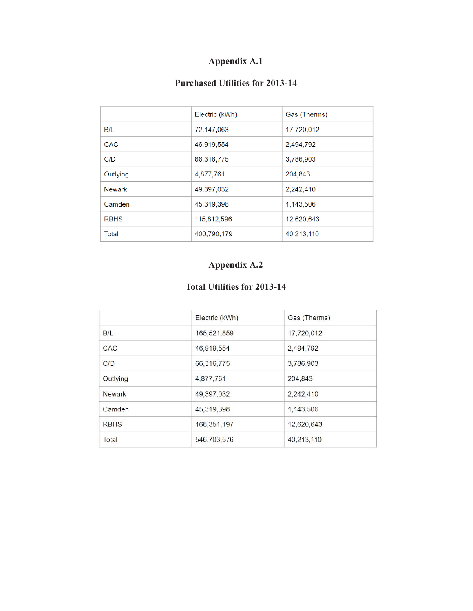# **Appendix A.1**

### **Purchased Utilities for 2013-14**

|             | Electric (kWh) | Gas (Therms) |  |  |
|-------------|----------------|--------------|--|--|
| B/L         | 72,147,063     | 17,720,012   |  |  |
| CAC         | 46,919,554     | 2,494,792    |  |  |
| C/D         | 66,316,775     | 3,786,903    |  |  |
| Outlying    | 4,877,761      | 204,843      |  |  |
| Newark      | 49,397,032     | 2,242,410    |  |  |
| Camden      | 45,319,398     | 1,143,506    |  |  |
| <b>RBHS</b> | 115,812,596    | 12,620,643   |  |  |
| Total       | 400,790,179    | 40,213,110   |  |  |

## **Appendix A.2**

### **Total Utilities for 2013-14**

|               | Electric (kWh) | Gas (Therms) |
|---------------|----------------|--------------|
| B/L           | 165,521,859    | 17,720,012   |
| CAC           | 46,919,554     | 2,494,792    |
| C/D           | 66,316,775     | 3,786,903    |
| Outlying      | 4,877,761      | 204,843      |
| <b>Newark</b> | 49,397,032     | 2,242,410    |
| Camden        | 45,319,398     | 1,143,506    |
| <b>RBHS</b>   | 168,351,197    | 12,620,643   |
| Total         | 546,703,576    | 40,213,110   |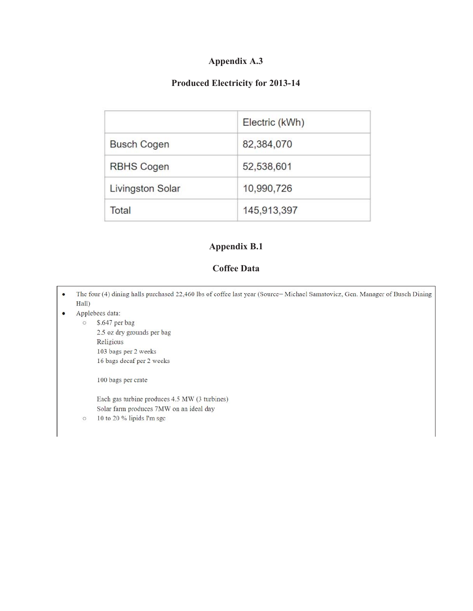### **Appendix A.3**

### **Produced Electricity for 2013-14**

|                         | Electric (kWh) |  |  |
|-------------------------|----------------|--|--|
| <b>Busch Cogen</b>      | 82,384,070     |  |  |
| <b>RBHS Cogen</b>       | 52,538,601     |  |  |
| <b>Livingston Solar</b> | 10,990,726     |  |  |
| Total                   | 145,913,397    |  |  |

### **Appendix B.1**

### **Coffee Data**

The four (4) dining halls purchased 22,460 lbs of coffee last year (Source= Michael Samatovicz, Gen. Manager of Busch Dining  $\bullet$ Hall)

#### $\bullet$ Applebees data:

 $\circ$ 

\$.647 per bag  $\circ$ 2.5 oz dry grounds per bag Religious 103 bags per 2 weeks 16 bags decaf per 2 weeks

100 bags per crate

Each gas turbine produces 4.5 MW (3 turbines) Solar farm produces 7MW on an ideal day 10 to 20  $\%$  lipids I'm sgc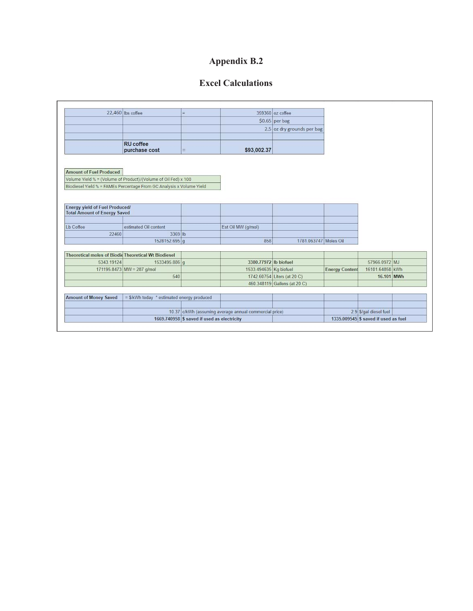# **Appendix B.2**

### **Excel Calculations**

|                                                      | 22.460 lbs coffee                                                    | $=$                                         |                                                        | 359360 oz coffee             |                       |                                      |  |
|------------------------------------------------------|----------------------------------------------------------------------|---------------------------------------------|--------------------------------------------------------|------------------------------|-----------------------|--------------------------------------|--|
|                                                      |                                                                      |                                             |                                                        | \$0.65 per bag               |                       |                                      |  |
|                                                      |                                                                      |                                             |                                                        | 2.5 oz dry grounds per bag   |                       |                                      |  |
|                                                      |                                                                      |                                             |                                                        |                              |                       |                                      |  |
|                                                      | <b>RU</b> coffee                                                     |                                             |                                                        |                              |                       |                                      |  |
|                                                      | purchase cost                                                        | $\equiv$                                    | \$93,002.37                                            |                              |                       |                                      |  |
|                                                      |                                                                      |                                             |                                                        |                              |                       |                                      |  |
|                                                      |                                                                      |                                             |                                                        |                              |                       |                                      |  |
| <b>Amount of Fuel Produced</b>                       |                                                                      |                                             |                                                        |                              |                       |                                      |  |
|                                                      | Volume Yield % = (Volume of Product)/(Volume of Oil Fed) x 100       |                                             |                                                        |                              |                       |                                      |  |
|                                                      | Biodiesel Yield % = FAMEs Percentage From GC Analysis x Volume Yield |                                             |                                                        |                              |                       |                                      |  |
|                                                      |                                                                      |                                             |                                                        |                              |                       |                                      |  |
| Energy yield of Fuel Produced/                       |                                                                      |                                             |                                                        |                              |                       |                                      |  |
| <b>Total Amount of Energy Saved</b>                  |                                                                      |                                             |                                                        |                              |                       |                                      |  |
|                                                      |                                                                      |                                             |                                                        |                              |                       |                                      |  |
| Lb Coffee                                            | estimated Oil content                                                |                                             | Est Oil MW (g/mol)                                     |                              |                       |                                      |  |
| 22460                                                | 3369 lb                                                              |                                             |                                                        |                              |                       |                                      |  |
|                                                      | 1528152.695 g                                                        |                                             | 858                                                    | 1781.063747 Moles Oil        |                       |                                      |  |
|                                                      |                                                                      |                                             |                                                        |                              |                       |                                      |  |
| Theoretical moles of Biodic Theoretical Wt Biodiesel |                                                                      |                                             |                                                        |                              |                       |                                      |  |
| 5343.19124                                           | 1533495.886 g                                                        |                                             | 3380.77972 lb biofuel                                  |                              |                       | 57966.0972 MJ                        |  |
|                                                      | 171195.8473 MW = 287 g/mol                                           |                                             | 1533.494635 Kg biofuel                                 |                              | <b>Energy Content</b> | 16101.64858 kWh                      |  |
|                                                      | 540                                                                  |                                             |                                                        | 1742.60754 Liters (at 20 C)  |                       | 16.101 MWh                           |  |
|                                                      |                                                                      |                                             |                                                        | 460.348119 Gallons (at 20 C) |                       |                                      |  |
|                                                      |                                                                      |                                             |                                                        |                              |                       |                                      |  |
| <b>Amount of Money Saved</b>                         | = \$/kWh today * estimated energy produced                           |                                             |                                                        |                              |                       |                                      |  |
|                                                      |                                                                      |                                             |                                                        |                              |                       |                                      |  |
|                                                      |                                                                      |                                             | 10.37 c/kWh (assuming average annual commercial price) |                              |                       | 2.9 \$/gal diesel fuel               |  |
|                                                      |                                                                      | 1669.740958 \$ saved if used as electricity |                                                        |                              |                       | 1335.009545 \$ saved if used as fuel |  |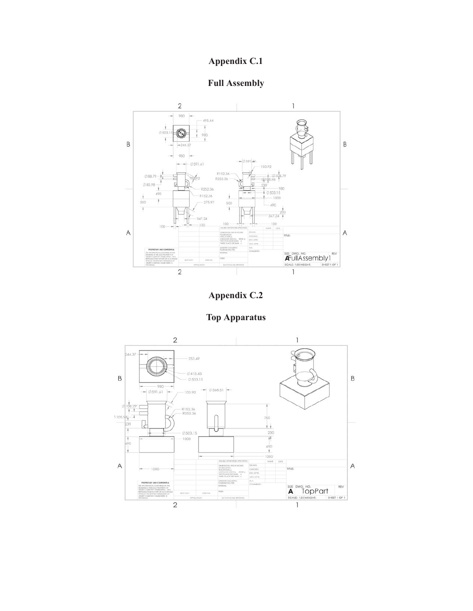## **Appendix C.1**









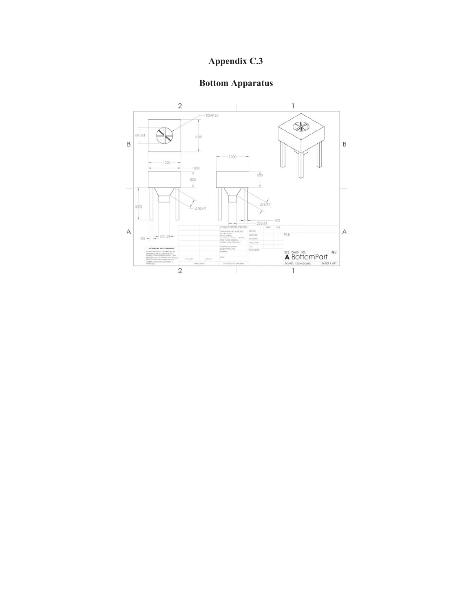# **Appendix C.3**

# **Bottom Apparatus**

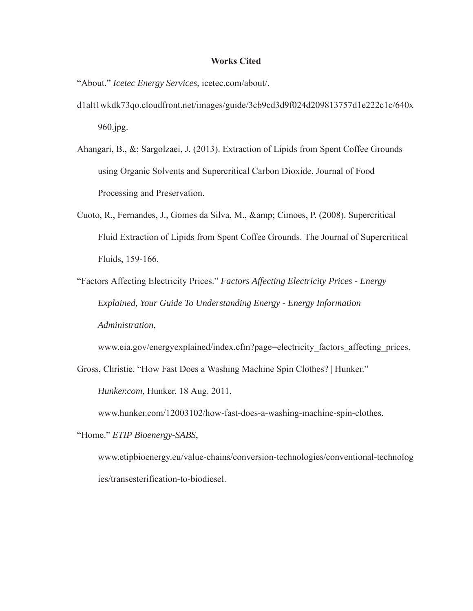#### **Works Cited**

"About." *Icetec Energy Services*, icetec.com/about/.

- d1alt1wkdk73qo.cloudfront.net/images/guide/3cb9cd3d9f024d209813757d1e222c1c/640x 960.jpg.
- Ahangari, B., &; Sargolzaei, J. (2013). Extraction of Lipids from Spent Coffee Grounds using Organic Solvents and Supercritical Carbon Dioxide. Journal of Food Processing and Preservation.
- Cuoto, R., Fernandes, J., Gomes da Silva, M., & amp; Cimoes, P. (2008). Supercritical Fluid Extraction of Lipids from Spent Coffee Grounds. The Journal of Supercritical Fluids, 159-166.
- "Factors Affecting Electricity Prices." *Factors Affecting Electricity Prices Energy Explained, Your Guide To Understanding Energy - Energy Information Administration* ,

www.eia.gov/energyexplained/index.cfm?page=electricity\_factors\_affecting\_prices.

Gross, Christie. "How Fast Does a Washing Machine Spin Clothes? | Hunker."

*Hunker.com*, Hunker, 18 Aug. 2011,

www.hunker.com/12003102/how-fast-does-a-washing-machine-spin-clothes.

"Home." *ETIP Bioenergy-SABS* ,

www.etipbioenergy.eu/value-chains/conversion-technologies/conventional-technolog ies/transesterification-to-biodiesel.